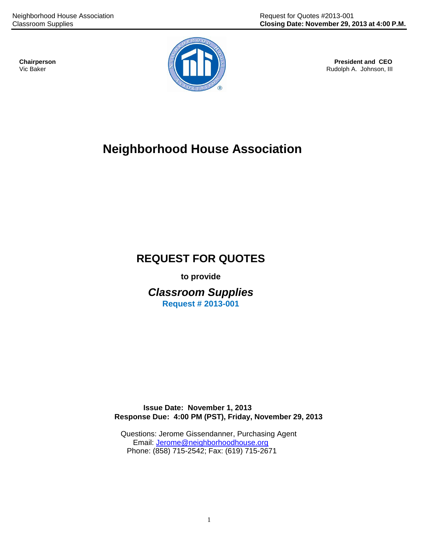

Rudolph A. Johnson, III

# **Neighborhood House Association**

# **REQUEST FOR QUOTES**

**to provide**

*Classroom Supplies* **Request # 2013-001**

 **Issue Date: November 1, 2013 Response Due: 4:00 PM (PST), Friday, November 29, 2013**

 Questions: Jerome Gissendanner, Purchasing Agent Email: [Jerome@neighborhoodhouse.org](mailto:kmsmith@neighborhoodhouse.org) Phone: (858) 715-2542; Fax: (619) 715-2671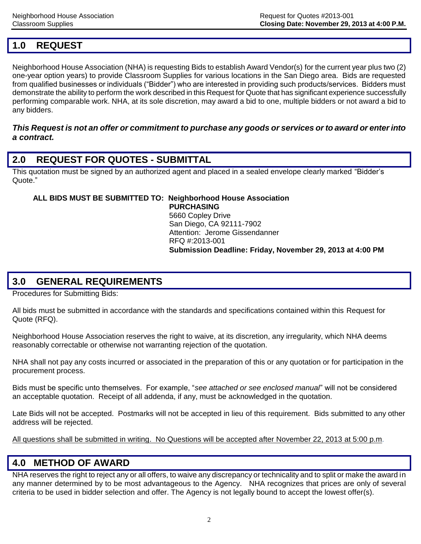## **1.0 REQUEST**

Neighborhood House Association (NHA) is requesting Bids to establish Award Vendor(s) for the current year plus two (2) one-year option years) to provide Classroom Supplies for various locations in the San Diego area. Bids are requested from qualified businesses or individuals ("Bidder") who are interested in providing such products/services. Bidders must demonstrate the ability to perform the work described in this Request for Quote that has significant experience successfully performing comparable work. NHA, at its sole discretion, may award a bid to one, multiple bidders or not award a bid to any bidders.

#### *This Request is not an offer or commitment to purchase any goods or services or to award or enter into a contract.*

### **2.0 REQUEST FOR QUOTES - SUBMITTAL**

This quotation must be signed by an authorized agent and placed in a sealed envelope clearly marked "Bidder's Quote."

#### **ALL BIDS MUST BE SUBMITTED TO: Neighborhood House Association PURCHASING**

 5660 Copley Drive San Diego, CA 92111-7902 Attention: Jerome Gissendanner RFQ #:2013-001 **Submission Deadline: Friday, November 29, 2013 at 4:00 PM**

### **3.0 GENERAL REQUIREMENTS**

Procedures for Submitting Bids:

All bids must be submitted in accordance with the standards and specifications contained within this Request for Quote (RFQ).

Neighborhood House Association reserves the right to waive, at its discretion, any irregularity, which NHA deems reasonably correctable or otherwise not warranting rejection of the quotation.

NHA shall not pay any costs incurred or associated in the preparation of this or any quotation or for participation in the procurement process.

Bids must be specific unto themselves. For example, "*see attached or see enclosed manual*" will not be considered an acceptable quotation. Receipt of all addenda, if any, must be acknowledged in the quotation.

Late Bids will not be accepted. Postmarks will not be accepted in lieu of this requirement. Bids submitted to any other address will be rejected.

All questions shall be submitted in writing. No Questions will be accepted after November 22, 2013 at 5:00 p.m.

### **4.0 METHOD OF AWARD**

NHA reserves the right to reject any or all offers, to waive any discrepancy or technicality and to split or make the award in any manner determined by to be most advantageous to the Agency. NHA recognizes that prices are only of several criteria to be used in bidder selection and offer. The Agency is not legally bound to accept the lowest offer(s).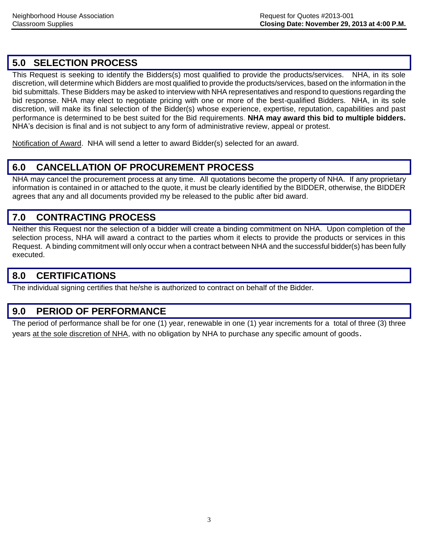## **5.0 SELECTION PROCESS**

This Request is seeking to identify the Bidders(s) most qualified to provide the products/services. NHA, in its sole discretion, will determine which Bidders are most qualified to provide the products/services, based on the information in the bid submittals. These Bidders may be asked to interview with NHA representatives and respond to questions regarding the bid response. NHA may elect to negotiate pricing with one or more of the best-qualified Bidders. NHA, in its sole discretion, will make its final selection of the Bidder(s) whose experience, expertise, reputation, capabilities and past performance is determined to be best suited for the Bid requirements. **NHA may award this bid to multiple bidders.** NHA's decision is final and is not subject to any form of administrative review, appeal or protest.

Notification of Award. NHA will send a letter to award Bidder(s) selected for an award.

## **6.0 CANCELLATION OF PROCUREMENT PROCESS**

NHA may cancel the procurement process at any time. All quotations become the property of NHA. If any proprietary information is contained in or attached to the quote, it must be clearly identified by the BIDDER, otherwise, the BIDDER agrees that any and all documents provided my be released to the public after bid award.

### **7.0 CONTRACTING PROCESS**

Neither this Request nor the selection of a bidder will create a binding commitment on NHA. Upon completion of the selection process, NHA will award a contract to the parties whom it elects to provide the products or services in this Request. A binding commitment will only occur when a contract between NHA and the successful bidder(s) has been fully executed.

### **8.0 CERTIFICATIONS**

The individual signing certifies that he/she is authorized to contract on behalf of the Bidder.

### **9.0 PERIOD OF PERFORMANCE**

The period of performance shall be for one (1) year, renewable in one (1) year increments for a total of three (3) three years at the sole discretion of NHA, with no obligation by NHA to purchase any specific amount of goods.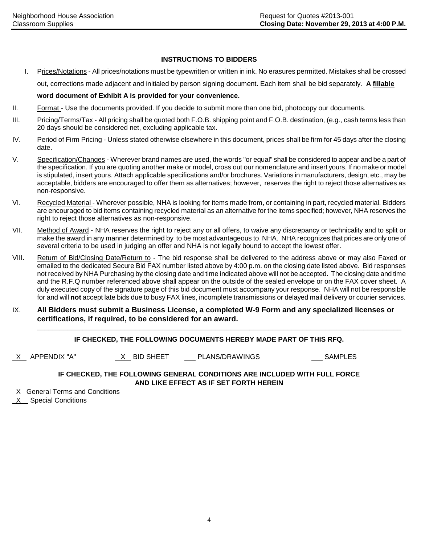#### **INSTRUCTIONS TO BIDDERS**

I. Prices/Notations - All prices/notations must be typewritten or written in ink. No erasures permitted. Mistakes shall be crossed

out, corrections made adjacent and initialed by person signing document. Each item shall be bid separately. **A fillable**

#### **word document of Exhibit A is provided for your convenience.**

- II. Format Use the documents provided. If you decide to submit more than one bid, photocopy our documents.
- III. Pricing/Terms/Tax All pricing shall be quoted both F.O.B. shipping point and F.O.B. destination, (e.g., cash terms less than 20 days should be considered net, excluding applicable tax.
- IV. Period of Firm Pricing Unless stated otherwise elsewhere in this document, prices shall be firm for 45 days after the closing date.
- V. Specification/Changes Wherever brand names are used, the words "or equal" shall be considered to appear and be a part of the specification. If you are quoting another make or model, cross out our nomenclature and insert yours. If no make or model is stipulated, insert yours. Attach applicable specifications and/or brochures. Variations in manufacturers, design, etc., may be acceptable, bidders are encouraged to offer them as alternatives; however, reserves the right to reject those alternatives as non-responsive.
- VI. Recycled Material Wherever possible, NHA is looking for items made from, or containing in part, recycled material. Bidders are encouraged to bid items containing recycled material as an alternative for the items specified; however, NHA reserves the right to reject those alternatives as non-responsive.
- VII. Method of Award NHA reserves the right to reject any or all offers, to waive any discrepancy or technicality and to split or make the award in any manner determined by to be most advantageous to NHA. NHA recognizes that prices are only one of several criteria to be used in judging an offer and NHA is not legally bound to accept the lowest offer.
- VIII. Return of Bid/Closing Date/Return to The bid response shall be delivered to the address above or may also Faxed or emailed to the dedicated Secure Bid FAX number listed above by 4:00 p.m. on the closing date listed above. Bid responses not received by NHA Purchasing by the closing date and time indicated above will not be accepted. The closing date and time and the R.F.Q number referenced above shall appear on the outside of the sealed envelope or on the FAX cover sheet. A duly executed copy of the signature page of this bid document must accompany your response. NHA will not be responsible for and will **not** accept late bids due to busy FAX lines, incomplete transmissions or delayed mail delivery or courier services.
- IX. **All Bidders must submit a Business License, a completed W-9 Form and any specialized licenses or certifications, if required, to be considered for an award.**

#### **IF CHECKED, THE FOLLOWING DOCUMENTS HEREBY MADE PART OF THIS RFQ.**

X APPENDIX "A" X BID SHEET PLANS/DRAWINGS SAMPLES

**\_\_\_\_\_\_\_\_\_\_\_\_\_\_\_\_\_\_\_\_\_\_\_\_\_\_\_\_\_\_\_\_\_\_\_\_\_\_\_\_\_\_\_\_\_\_\_\_\_\_\_\_\_\_\_\_\_\_\_\_\_\_\_\_\_\_\_\_\_\_\_\_\_\_\_\_\_\_\_\_\_\_\_\_\_\_\_\_\_\_\_\_\_\_\_\_**

#### **IF CHECKED, THE FOLLOWING GENERAL CONDITIONS ARE INCLUDED WITH FULL FORCE AND LIKE EFFECT AS IF SET FORTH HEREIN**

X General Terms and Conditions

X Special Conditions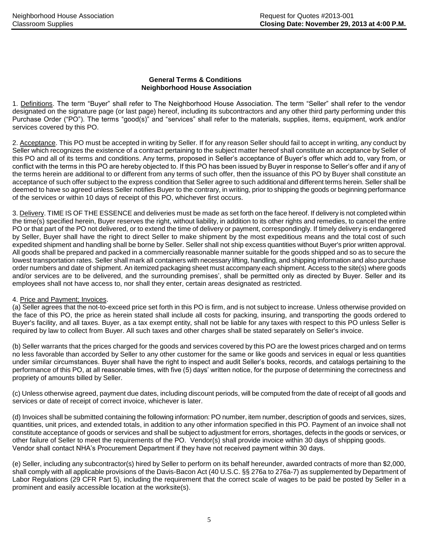#### **General Terms & Conditions Neighborhood House Association**

1. Definitions. The term "Buyer" shall refer to The Neighborhood House Association. The term "Seller" shall refer to the vendor designated on the signature page (or last page) hereof, including its subcontractors and any other third party performing under this Purchase Order ("PO"). The terms "good(s)" and "services" shall refer to the materials, supplies, items, equipment, work and/or services covered by this PO.

2. Acceptance. This PO must be accepted in writing by Seller. If for any reason Seller should fail to accept in writing, any conduct by Seller which recognizes the existence of a contract pertaining to the subject matter hereof shall constitute an acceptance by Seller of this PO and all of its terms and conditions. Any terms, proposed in Seller's acceptance of Buyer's offer which add to, vary from, or conflict with the terms in this PO are hereby objected to. If this PO has been issued by Buyer in response to Seller's offer and if any of the terms herein are additional to or different from any terms of such offer, then the issuance of this PO by Buyer shall constitute an acceptance of such offer subject to the express condition that Seller agree to such additional and different terms herein. Seller shall be deemed to have so agreed unless Seller notifies Buyer to the contrary, in writing, prior to shipping the goods or beginning performance of the services or within 10 days of receipt of this PO, whichever first occurs.

3. Delivery. TIME IS OF THE ESSENCE and deliveries must be made as set forth on the face hereof. If delivery is not completed within the time(s) specified herein, Buyer reserves the right, without liability, in addition to its other rights and remedies, to cancel the entire PO or that part of the PO not delivered, or to extend the time of delivery or payment, correspondingly. If timely delivery is endangered by Seller, Buyer shall have the right to direct Seller to make shipment by the most expeditious means and the total cost of such expedited shipment and handling shall be borne by Seller. Seller shall not ship excess quantities without Buyer's prior written approval. All goods shall be prepared and packed in a commercially reasonable manner suitable for the goods shipped and so as to secure the lowest transportation rates. Seller shall mark all containers with necessary lifting, handling, and shipping information and also purchase order numbers and date of shipment. An itemized packaging sheet must accompany each shipment. Access to the site(s) where goods and/or services are to be delivered, and the surrounding premises', shall be permitted only as directed by Buyer. Seller and its employees shall not have access to, nor shall they enter, certain areas designated as restricted.

#### 4. Price and Payment; Invoices.

(a) Seller agrees that the not-to-exceed price set forth in this PO is firm, and is not subject to increase. Unless otherwise provided on the face of this PO, the price as herein stated shall include all costs for packing, insuring, and transporting the goods ordered to Buyer's facility, and all taxes. Buyer, as a tax exempt entity, shall not be liable for any taxes with respect to this PO unless Seller is required by law to collect from Buyer. All such taxes and other charges shall be stated separately on Seller's invoice.

(b) Seller warrants that the prices charged for the goods and services covered by this PO are the lowest prices charged and on terms no less favorable than accorded by Seller to any other customer for the same or like goods and services in equal or less quantities under similar circumstances. Buyer shall have the right to inspect and audit Seller's books, records, and catalogs pertaining to the performance of this PO, at all reasonable times, with five (5) days' written notice, for the purpose of determining the correctness and propriety of amounts billed by Seller.

(c) Unless otherwise agreed, payment due dates, including discount periods, will be computed from the date of receipt of all goods and services or date of receipt of correct invoice, whichever is later.

(d) Invoices shall be submitted containing the following information: PO number, item number, description of goods and services, sizes, quantities, unit prices, and extended totals, in addition to any other information specified in this PO. Payment of an invoice shall not constitute acceptance of goods or services and shall be subject to adjustment for errors, shortages, defects in the goods or services, or other failure of Seller to meet the requirements of the PO. Vendor(s) shall provide invoice within 30 days of shipping goods. Vendor shall contact NHA's Procurement Department if they have not received payment within 30 days.

(e) Seller, including any subcontractor(s) hired by Seller to perform on its behalf hereunder, awarded contracts of more than \$2,000, shall comply with all applicable provisions of the Davis-Bacon Act (40 U.S.C. §§ 276a to 276a-7) as supplemented by Department of Labor Regulations (29 CFR Part 5), including the requirement that the correct scale of wages to be paid be posted by Seller in a prominent and easily accessible location at the worksite(s).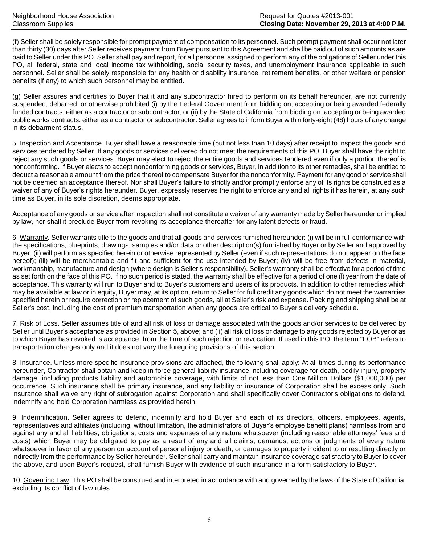(f) Seller shall be solely responsible for prompt payment of compensation to its personnel. Such prompt payment shall occur not later than thirty (30) days after Seller receives payment from Buyer pursuant to this Agreement and shall be paid out of such amounts as are paid to Seller under this PO. Seller shall pay and report, for all personnel assigned to perform any of the obligations of Seller under this PO, all federal, state and local income tax withholding, social security taxes, and unemployment insurance applicable to such personnel. Seller shall be solely responsible for any health or disability insurance, retirement benefits, or other welfare or pension benefits (if any) to which such personnel may be entitled.

(g) Seller assures and certifies to Buyer that it and any subcontractor hired to perform on its behalf hereunder, are not currently suspended, debarred, or otherwise prohibited (i) by the Federal Government from bidding on, accepting or being awarded federally funded contracts, either as a contractor or subcontractor; or (ii) by the State of California from bidding on, accepting or being awarded public works contracts, either as a contractor or subcontractor. Seller agrees to inform Buyer within forty-eight (48) hours of any change in its debarment status.

5. Inspection and Acceptance. Buyer shall have a reasonable time (but not less than 10 days) after receipt to inspect the goods and services tendered by Seller. If any goods or services delivered do not meet the requirements of this PO, Buyer shall have the right to reject any such goods or services. Buyer may elect to reject the entire goods and services tendered even if only a portion thereof is nonconforming. If Buyer elects to accept nonconforming goods or services, Buyer, in addition to its other remedies, shall be entitled to deduct a reasonable amount from the price thereof to compensate Buyer for the nonconformity. Payment for any good or service shall not be deemed an acceptance thereof. Nor shall Buyer's failure to strictly and/or promptly enforce any of its rights be construed as a waiver of any of Buyer's rights hereunder. Buyer, expressly reserves the right to enforce any and all rights it has herein, at any such time as Buyer, in its sole discretion, deems appropriate.

Acceptance of any goods or service after inspection shall not constitute a waiver of any warranty made by Seller hereunder or implied by law, nor shall it preclude Buyer from revoking its acceptance thereafter for any latent defects or fraud.

6. Warranty. Seller warrants title to the goods and that all goods and services furnished hereunder: (i) will be in full conformance with the specifications, blueprints, drawings, samples and/or data or other description(s) furnished by Buyer or by Seller and approved by Buyer; (ii) will perform as specified herein or otherwise represented by Seller (even if such representations do not appear on the face hereof); (iii) will be merchantable and fit and sufficient for the use intended by Buyer; (iv) will be free from defects in material, workmanship, manufacture and design (where design is Seller's responsibility). Seller's warranty shall be effective for a period of time as set forth on the face of this PO. If no such period is stated, the warranty shall be effective for a period of one (l) year from the date of acceptance. This warranty will run to Buyer and to Buyer's customers and users of its products. In addition to other remedies which may be available at law or in equity, Buyer may, at its option, return to Seller for full credit any goods which do not meet the warranties specified herein or require correction or replacement of such goods, all at Seller's risk and expense. Packing and shipping shall be at Seller's cost, including the cost of premium transportation when any goods are critical to Buyer's delivery schedule.

7. Risk of Loss. Seller assumes title of and all risk of loss or damage associated with the goods and/or services to be delivered by Seller until Buyer's acceptance as provided in Section 5, above; and (ii) all risk of loss or damage to any goods rejected by Buyer or as to which Buyer has revoked is acceptance, from the time of such rejection or revocation. If used in this PO, the term "FOB" refers to transportation charges only and it does not vary the foregoing provisions of this section.

8. Insurance. Unless more specific insurance provisions are attached, the following shall apply: At all times during its performance hereunder, Contractor shall obtain and keep in force general liability insurance including coverage for death, bodily injury, property damage, including products liability and automobile coverage, with limits of not less than One Million Dollars (\$1,000,000) per occurrence. Such insurance shall be primary insurance, and any liability or insurance of Corporation shall be excess only. Such insurance shall waive any right of subrogation against Corporation and shall specifically cover Contractor's obligations to defend, indemnify and hold Corporation harmless as provided herein.

9. Indemnification. Seller agrees to defend, indemnify and hold Buyer and each of its directors, officers, employees, agents, representatives and affiliates (including, without limitation, the administrators of Buyer's employee benefit plans) harmless from and against any and all liabilities, obligations, costs and expenses of any nature whatsoever (including reasonable attorneys' fees and costs) which Buyer may be obligated to pay as a result of any and all claims, demands, actions or judgments of every nature whatsoever in favor of any person on account of personal injury or death, or damages to property incident to or resulting directly or indirectly from the performance by Seller hereunder. Seller shall carry and maintain insurance coverage satisfactory to Buyer to cover the above, and upon Buyer's request, shall furnish Buyer with evidence of such insurance in a form satisfactory to Buyer.

10. Governing Law. This PO shall be construed and interpreted in accordance with and governed by the laws of the State of California, excluding its conflict of law rules.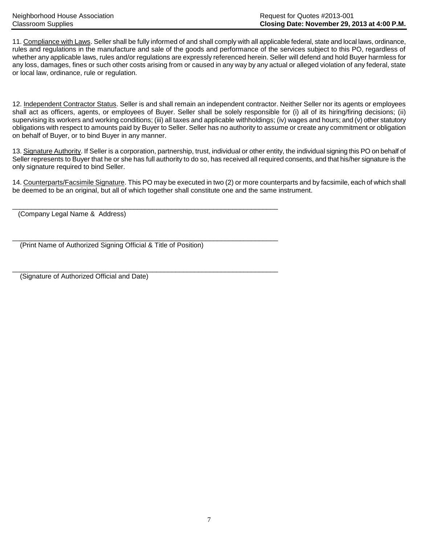11. Compliance with Laws. Seller shall be fully informed of and shall comply with all applicable federal, state and local laws, ordinance, rules and regulations in the manufacture and sale of the goods and performance of the services subject to this PO, regardless of whether any applicable laws, rules and/or regulations are expressly referenced herein. Seller will defend and hold Buyer harmless for any loss, damages, fines or such other costs arising from or caused in any way by any actual or alleged violation of any federal, state or local law, ordinance, rule or regulation.

12. Independent Contractor Status. Seller is and shall remain an independent contractor. Neither Seller nor its agents or employees shall act as officers, agents, or employees of Buyer. Seller shall be solely responsible for (i) all of its hiring/firing decisions; (ii) supervising its workers and working conditions; (iii) all taxes and applicable withholdings; (iv) wages and hours; and (v) other statutory obligations with respect to amounts paid by Buyer to Seller. Seller has no authority to assume or create any commitment or obligation on behalf of Buyer, or to bind Buyer in any manner.

13. Signature Authority. If Seller is a corporation, partnership, trust, individual or other entity, the individual signing this PO on behalf of Seller represents to Buyer that he or she has full authority to do so, has received all required consents, and that his/her signature is the only signature required to bind Seller.

14. Counterparts/Facsimile Signature. This PO may be executed in two (2) or more counterparts and by facsimile, each of which shall be deemed to be an original, but all of which together shall constitute one and the same instrument.

(Company Legal Name & Address)

(Print Name of Authorized Signing Official & Title of Position)

 $\overline{\phantom{a}}$  , and the set of the set of the set of the set of the set of the set of the set of the set of the set of the set of the set of the set of the set of the set of the set of the set of the set of the set of the s

\_\_\_\_\_\_\_\_\_\_\_\_\_\_\_\_\_\_\_\_\_\_\_\_\_\_\_\_\_\_\_\_\_\_\_\_\_\_\_\_\_\_\_\_\_\_\_\_\_\_\_\_\_\_\_\_\_\_\_\_\_\_\_\_\_\_\_\_\_\_

 $\overline{\phantom{a}}$  , and the contribution of the contribution of the contribution of the contribution of the contribution of the contribution of the contribution of the contribution of the contribution of the contribution of the (Signature of Authorized Official and Date)